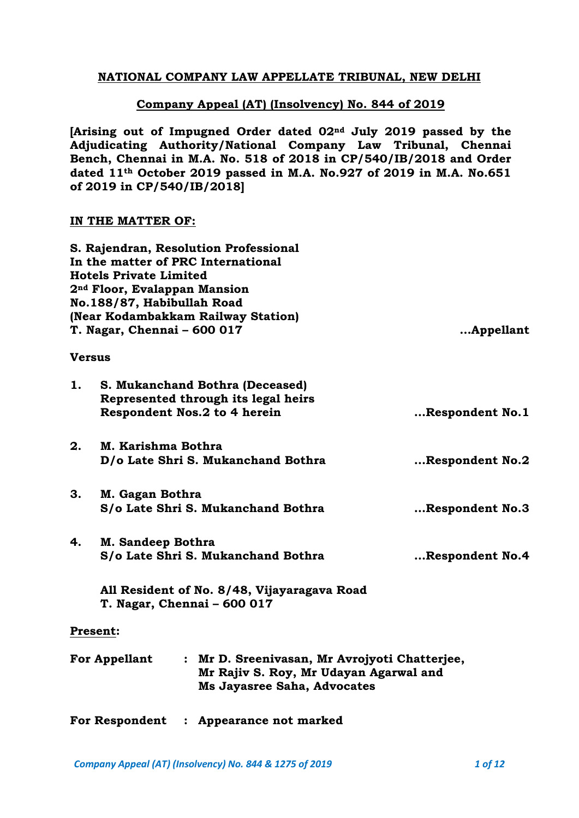# **NATIONAL COMPANY LAW APPELLATE TRIBUNAL, NEW DELHI**

# **Company Appeal (AT) (Insolvency) No. 844 of 2019**

**[Arising out of Impugned Order dated 02nd July 2019 passed by the Adjudicating Authority/National Company Law Tribunal, Chennai Bench, Chennai in M.A. No. 518 of 2018 in CP/540/IB/2018 and Order dated 11th October 2019 passed in M.A. No.927 of 2019 in M.A. No.651 of 2019 in CP/540/IB/2018]**

# **IN THE MATTER OF:**

|                                                                                                                                                       | <b>Hotels Private Limited</b><br>2 <sup>nd</sup> Floor, Evalappan Mansion<br>No.188/87, Habibullah Road<br>T. Nagar, Chennai - 600 017 | S. Rajendran, Resolution Professional<br>In the matter of PRC International<br>(Near Kodambakkam Railway Station) | Appellant       |
|-------------------------------------------------------------------------------------------------------------------------------------------------------|----------------------------------------------------------------------------------------------------------------------------------------|-------------------------------------------------------------------------------------------------------------------|-----------------|
| <b>Versus</b>                                                                                                                                         |                                                                                                                                        |                                                                                                                   |                 |
| 1.                                                                                                                                                    |                                                                                                                                        | S. Mukanchand Bothra (Deceased)<br>Represented through its legal heirs<br>Respondent Nos.2 to 4 herein            | Respondent No.1 |
| 2.                                                                                                                                                    | M. Karishma Bothra                                                                                                                     | D/o Late Shri S. Mukanchand Bothra                                                                                | Respondent No.2 |
| 3.                                                                                                                                                    | M. Gagan Bothra                                                                                                                        | S/o Late Shri S. Mukanchand Bothra                                                                                | Respondent No.3 |
| 4.                                                                                                                                                    | M. Sandeep Bothra                                                                                                                      | S/o Late Shri S. Mukanchand Bothra                                                                                | Respondent No.4 |
|                                                                                                                                                       |                                                                                                                                        | All Resident of No. 8/48, Vijayaragava Road<br>T. Nagar, Chennai - 600 017                                        |                 |
|                                                                                                                                                       | Present:                                                                                                                               |                                                                                                                   |                 |
| <b>For Appellant</b><br>: Mr D. Sreenivasan, Mr Avrojyoti Chatterjee,<br>Mr Rajiv S. Roy, Mr Udayan Agarwal and<br><b>Ms Jayasree Saha, Advocates</b> |                                                                                                                                        |                                                                                                                   |                 |
|                                                                                                                                                       | <b>For Respondent</b>                                                                                                                  | Appearance not marked                                                                                             |                 |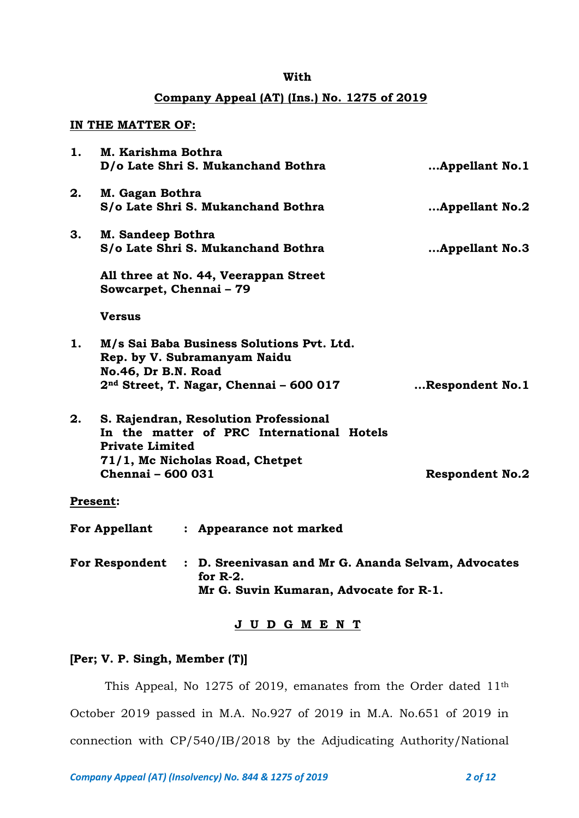#### **With**

## **Company Appeal (AT) (Ins.) No. 1275 of 2019**

#### **IN THE MATTER OF:**

| 1. | M. Karishma Bothra                                 | D/o Late Shri S. Mukanchand Bothra                                                                                               | Appellant No.1         |
|----|----------------------------------------------------|----------------------------------------------------------------------------------------------------------------------------------|------------------------|
| 2. | M. Gagan Bothra                                    | S/o Late Shri S. Mukanchand Bothra                                                                                               | Appellant No.2         |
| 3. | M. Sandeep Bothra                                  | S/o Late Shri S. Mukanchand Bothra                                                                                               | Appellant No.3         |
|    | Sowcarpet, Chennai - 79                            | All three at No. 44, Veerappan Street                                                                                            |                        |
|    | <b>Versus</b>                                      |                                                                                                                                  |                        |
| 1. | No.46, Dr B.N. Road                                | M/s Sai Baba Business Solutions Pvt. Ltd.<br>Rep. by V. Subramanyam Naidu<br>2 <sup>nd</sup> Street, T. Nagar, Chennai - 600 017 | Respondent No.1        |
| 2. | <b>Private Limited</b><br><b>Chennai - 600 031</b> | S. Rajendran, Resolution Professional<br>In the matter of PRC International Hotels<br>71/1, Mc Nicholas Road, Chetpet            | <b>Respondent No.2</b> |
|    | <b>Present:</b>                                    |                                                                                                                                  |                        |
|    | <b>For Appellant</b>                               | : Appearance not marked                                                                                                          |                        |
|    | <b>For Respondent</b>                              | : D. Sreenivasan and Mr G. Ananda Selvam, Advocates<br>for $R-2$ .<br>Mr G. Suvin Kumaran, Advocate for R-1.                     |                        |

## **J U D G M E N T**

# **[Per; V. P. Singh, Member (T)]**

This Appeal, No 1275 of 2019, emanates from the Order dated 11th October 2019 passed in M.A. No.927 of 2019 in M.A. No.651 of 2019 in connection with CP/540/IB/2018 by the Adjudicating Authority/National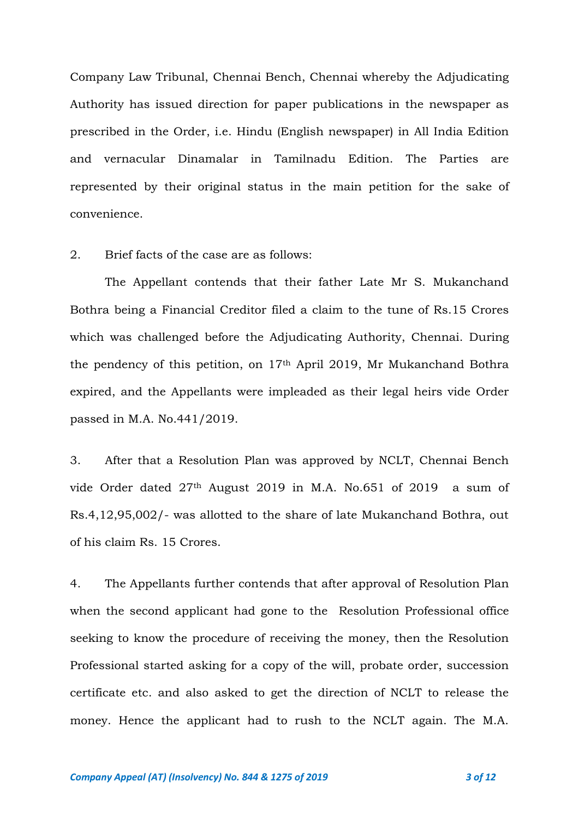Company Law Tribunal, Chennai Bench, Chennai whereby the Adjudicating Authority has issued direction for paper publications in the newspaper as prescribed in the Order, i.e. Hindu (English newspaper) in All India Edition and vernacular Dinamalar in Tamilnadu Edition. The Parties are represented by their original status in the main petition for the sake of convenience.

## 2. Brief facts of the case are as follows:

The Appellant contends that their father Late Mr S. Mukanchand Bothra being a Financial Creditor filed a claim to the tune of Rs.15 Crores which was challenged before the Adjudicating Authority, Chennai. During the pendency of this petition, on 17th April 2019, Mr Mukanchand Bothra expired, and the Appellants were impleaded as their legal heirs vide Order passed in M.A. No.441/2019.

3. After that a Resolution Plan was approved by NCLT, Chennai Bench vide Order dated 27th August 2019 in M.A. No.651 of 2019 a sum of Rs.4,12,95,002/- was allotted to the share of late Mukanchand Bothra, out of his claim Rs. 15 Crores.

4. The Appellants further contends that after approval of Resolution Plan when the second applicant had gone to the Resolution Professional office seeking to know the procedure of receiving the money, then the Resolution Professional started asking for a copy of the will, probate order, succession certificate etc. and also asked to get the direction of NCLT to release the money. Hence the applicant had to rush to the NCLT again. The M.A.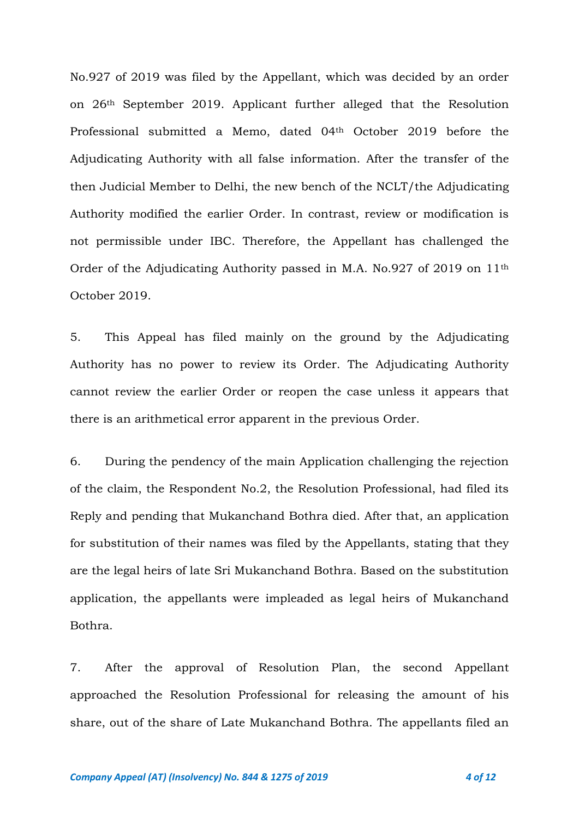No.927 of 2019 was filed by the Appellant, which was decided by an order on 26th September 2019. Applicant further alleged that the Resolution Professional submitted a Memo, dated 04th October 2019 before the Adjudicating Authority with all false information. After the transfer of the then Judicial Member to Delhi, the new bench of the NCLT/the Adjudicating Authority modified the earlier Order. In contrast, review or modification is not permissible under IBC. Therefore, the Appellant has challenged the Order of the Adjudicating Authority passed in M.A. No.927 of 2019 on 11th October 2019.

5. This Appeal has filed mainly on the ground by the Adjudicating Authority has no power to review its Order. The Adjudicating Authority cannot review the earlier Order or reopen the case unless it appears that there is an arithmetical error apparent in the previous Order.

6. During the pendency of the main Application challenging the rejection of the claim, the Respondent No.2, the Resolution Professional, had filed its Reply and pending that Mukanchand Bothra died. After that, an application for substitution of their names was filed by the Appellants, stating that they are the legal heirs of late Sri Mukanchand Bothra. Based on the substitution application, the appellants were impleaded as legal heirs of Mukanchand Bothra.

7. After the approval of Resolution Plan, the second Appellant approached the Resolution Professional for releasing the amount of his share, out of the share of Late Mukanchand Bothra. The appellants filed an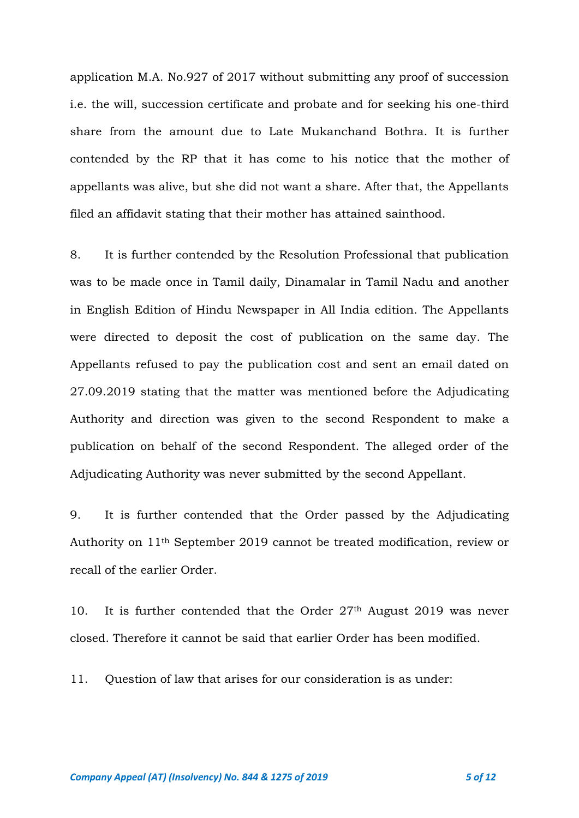application M.A. No.927 of 2017 without submitting any proof of succession i.e. the will, succession certificate and probate and for seeking his one-third share from the amount due to Late Mukanchand Bothra. It is further contended by the RP that it has come to his notice that the mother of appellants was alive, but she did not want a share. After that, the Appellants filed an affidavit stating that their mother has attained sainthood.

8. It is further contended by the Resolution Professional that publication was to be made once in Tamil daily, Dinamalar in Tamil Nadu and another in English Edition of Hindu Newspaper in All India edition. The Appellants were directed to deposit the cost of publication on the same day. The Appellants refused to pay the publication cost and sent an email dated on 27.09.2019 stating that the matter was mentioned before the Adjudicating Authority and direction was given to the second Respondent to make a publication on behalf of the second Respondent. The alleged order of the Adjudicating Authority was never submitted by the second Appellant.

9. It is further contended that the Order passed by the Adjudicating Authority on 11th September 2019 cannot be treated modification, review or recall of the earlier Order.

10. It is further contended that the Order 27<sup>th</sup> August 2019 was never closed. Therefore it cannot be said that earlier Order has been modified.

11. Question of law that arises for our consideration is as under: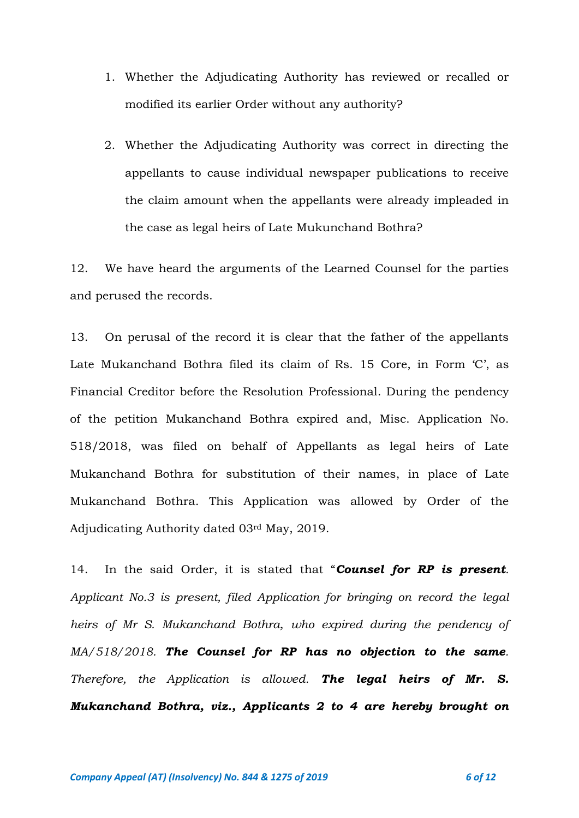- 1. Whether the Adjudicating Authority has reviewed or recalled or modified its earlier Order without any authority?
- 2. Whether the Adjudicating Authority was correct in directing the appellants to cause individual newspaper publications to receive the claim amount when the appellants were already impleaded in the case as legal heirs of Late Mukunchand Bothra?

12. We have heard the arguments of the Learned Counsel for the parties and perused the records.

13. On perusal of the record it is clear that the father of the appellants Late Mukanchand Bothra filed its claim of Rs. 15 Core, in Form 'C', as Financial Creditor before the Resolution Professional. During the pendency of the petition Mukanchand Bothra expired and, Misc. Application No. 518/2018, was filed on behalf of Appellants as legal heirs of Late Mukanchand Bothra for substitution of their names, in place of Late Mukanchand Bothra. This Application was allowed by Order of the Adjudicating Authority dated 03rd May, 2019.

14. In the said Order, it is stated that "*Counsel for RP is present. Applicant No.3 is present, filed Application for bringing on record the legal heirs of Mr S. Mukanchand Bothra, who expired during the pendency of MA/518/2018. The Counsel for RP has no objection to the same. Therefore, the Application is allowed. The legal heirs of Mr. S. Mukanchand Bothra, viz., Applicants 2 to 4 are hereby brought on*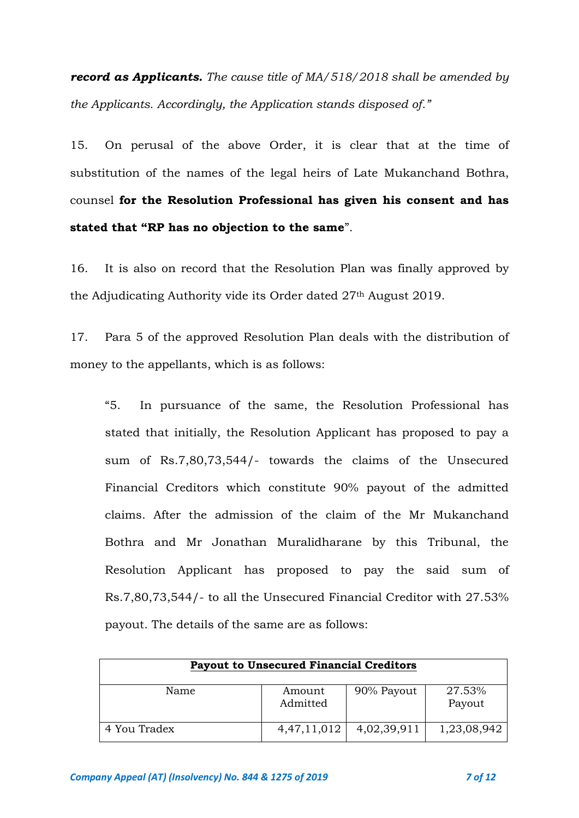*record as Applicants. The cause title of MA/518/2018 shall be amended by the Applicants. Accordingly, the Application stands disposed of."*

15. On perusal of the above Order, it is clear that at the time of substitution of the names of the legal heirs of Late Mukanchand Bothra, counsel **for the Resolution Professional has given his consent and has stated that "RP has no objection to the same**".

16. It is also on record that the Resolution Plan was finally approved by the Adjudicating Authority vide its Order dated 27th August 2019.

17. Para 5 of the approved Resolution Plan deals with the distribution of money to the appellants, which is as follows:

"5. In pursuance of the same, the Resolution Professional has stated that initially, the Resolution Applicant has proposed to pay a sum of Rs.7,80,73,544/- towards the claims of the Unsecured Financial Creditors which constitute 90% payout of the admitted claims. After the admission of the claim of the Mr Mukanchand Bothra and Mr Jonathan Muralidharane by this Tribunal, the Resolution Applicant has proposed to pay the said sum of Rs.7,80,73,544/- to all the Unsecured Financial Creditor with 27.53% payout. The details of the same are as follows:

| <b>Payout to Unsecured Financial Creditors</b> |                    |             |                  |  |  |  |
|------------------------------------------------|--------------------|-------------|------------------|--|--|--|
| Name                                           | Amount<br>Admitted | 90% Payout  | 27.53%<br>Payout |  |  |  |
| 4 You Tradex                                   | 4, 47, 11, 012     | 4,02,39,911 | 1,23,08,942      |  |  |  |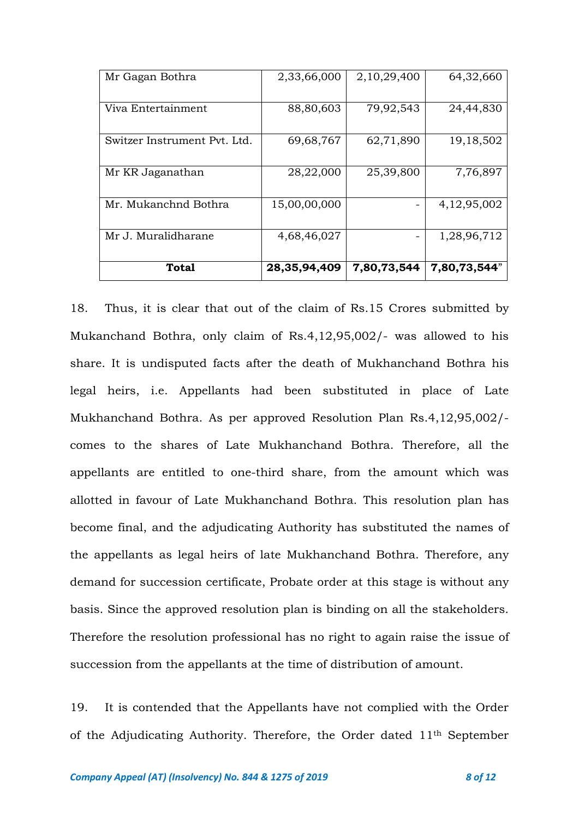| Mr Gagan Bothra              | 2,33,66,000     | 2,10,29,400              | 64,32,660    |
|------------------------------|-----------------|--------------------------|--------------|
| Viva Entertainment           | 88,80,603       | 79,92,543                | 24,44,830    |
| Switzer Instrument Pvt. Ltd. | 69,68,767       | 62,71,890                | 19, 18, 502  |
| Mr KR Jaganathan             | 28,22,000       | 25,39,800                | 7,76,897     |
| Mr. Mukanchnd Bothra         | 15,00,00,000    |                          | 4,12,95,002  |
| Mr J. Muralidharane          | 4,68,46,027     | $\overline{\phantom{0}}$ | 1,28,96,712  |
| Total                        | 28, 35, 94, 409 | 7,80,73,544              | 7,80,73,544" |

18. Thus, it is clear that out of the claim of Rs.15 Crores submitted by Mukanchand Bothra, only claim of Rs.4,12,95,002/- was allowed to his share. It is undisputed facts after the death of Mukhanchand Bothra his legal heirs, i.e. Appellants had been substituted in place of Late Mukhanchand Bothra. As per approved Resolution Plan Rs.4,12,95,002/ comes to the shares of Late Mukhanchand Bothra. Therefore, all the appellants are entitled to one-third share, from the amount which was allotted in favour of Late Mukhanchand Bothra. This resolution plan has become final, and the adjudicating Authority has substituted the names of the appellants as legal heirs of late Mukhanchand Bothra. Therefore, any demand for succession certificate, Probate order at this stage is without any basis. Since the approved resolution plan is binding on all the stakeholders. Therefore the resolution professional has no right to again raise the issue of succession from the appellants at the time of distribution of amount.

19. It is contended that the Appellants have not complied with the Order of the Adjudicating Authority. Therefore, the Order dated 11th September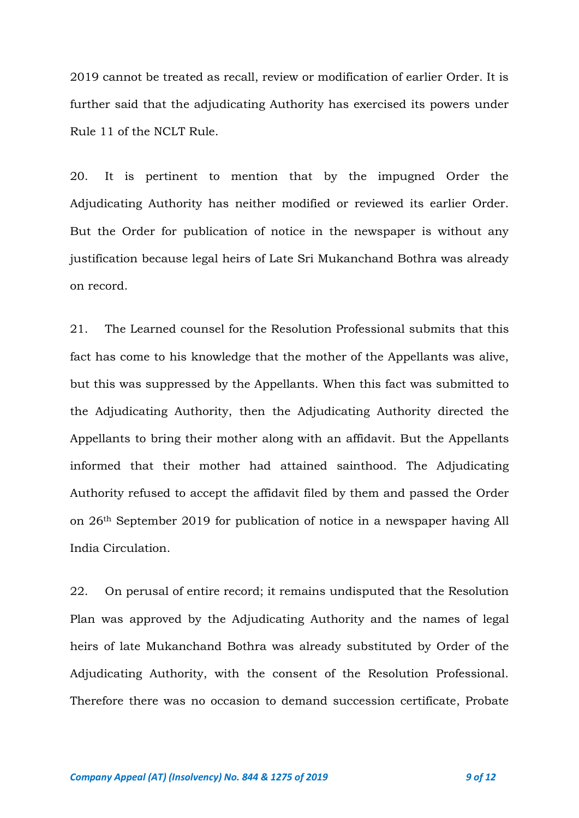2019 cannot be treated as recall, review or modification of earlier Order. It is further said that the adjudicating Authority has exercised its powers under Rule 11 of the NCLT Rule.

20. It is pertinent to mention that by the impugned Order the Adjudicating Authority has neither modified or reviewed its earlier Order. But the Order for publication of notice in the newspaper is without any justification because legal heirs of Late Sri Mukanchand Bothra was already on record.

21. The Learned counsel for the Resolution Professional submits that this fact has come to his knowledge that the mother of the Appellants was alive, but this was suppressed by the Appellants. When this fact was submitted to the Adjudicating Authority, then the Adjudicating Authority directed the Appellants to bring their mother along with an affidavit. But the Appellants informed that their mother had attained sainthood. The Adjudicating Authority refused to accept the affidavit filed by them and passed the Order on 26th September 2019 for publication of notice in a newspaper having All India Circulation.

22. On perusal of entire record; it remains undisputed that the Resolution Plan was approved by the Adjudicating Authority and the names of legal heirs of late Mukanchand Bothra was already substituted by Order of the Adjudicating Authority, with the consent of the Resolution Professional. Therefore there was no occasion to demand succession certificate, Probate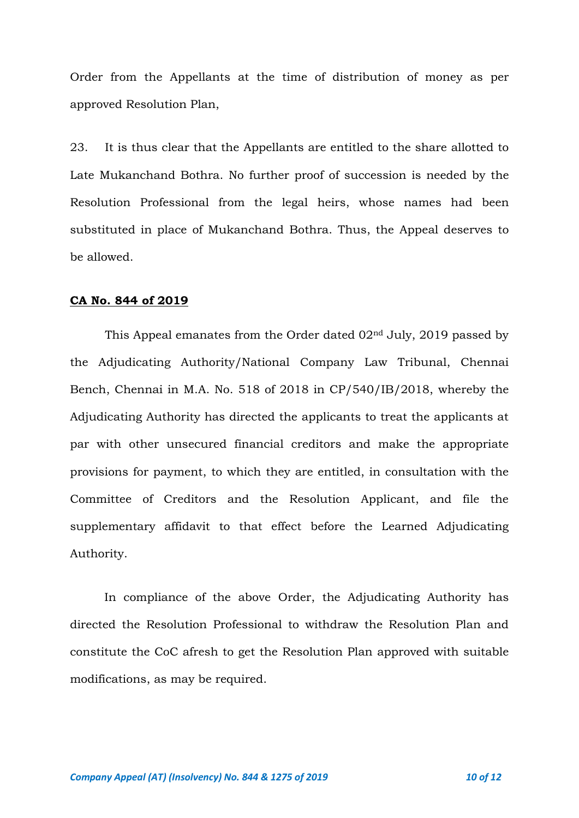Order from the Appellants at the time of distribution of money as per approved Resolution Plan,

23. It is thus clear that the Appellants are entitled to the share allotted to Late Mukanchand Bothra. No further proof of succession is needed by the Resolution Professional from the legal heirs, whose names had been substituted in place of Mukanchand Bothra. Thus, the Appeal deserves to be allowed.

#### **CA No. 844 of 2019**

This Appeal emanates from the Order dated 02nd July, 2019 passed by the Adjudicating Authority/National Company Law Tribunal, Chennai Bench, Chennai in M.A. No. 518 of 2018 in CP/540/IB/2018, whereby the Adjudicating Authority has directed the applicants to treat the applicants at par with other unsecured financial creditors and make the appropriate provisions for payment, to which they are entitled, in consultation with the Committee of Creditors and the Resolution Applicant, and file the supplementary affidavit to that effect before the Learned Adjudicating Authority.

In compliance of the above Order, the Adjudicating Authority has directed the Resolution Professional to withdraw the Resolution Plan and constitute the CoC afresh to get the Resolution Plan approved with suitable modifications, as may be required.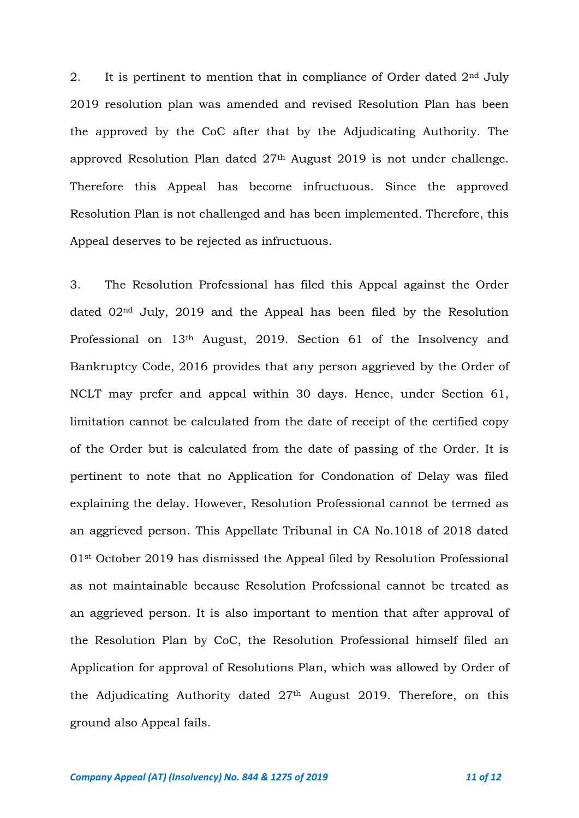2. It is pertinent to mention that in compliance of Order dated  $2<sup>nd</sup>$  July 2019 resolution plan was amended and revised Resolution Plan has been the approved by the CoC after that by the Adjudicating Authority. The approved Resolution Plan dated 27th August 2019 is not under challenge. Therefore this Appeal has become infructuous. Since the approved Resolution Plan is not challenged and has been implemented. Therefore, this Appeal deserves to be rejected as infructuous.

3. The Resolution Professional has filed this Appeal against the Order dated 02nd July, 2019 and the Appeal has been filed by the Resolution Professional on 13th August, 2019. Section 61 of the Insolvency and Bankruptcy Code, 2016 provides that any person aggrieved by the Order of NCLT may prefer and appeal within 30 days. Hence, under Section 61, limitation cannot be calculated from the date of receipt of the certified copy of the Order but is calculated from the date of passing of the Order. It is pertinent to note that no Application for Condonation of Delay was filed explaining the delay. However, Resolution Professional cannot be termed as an aggrieved person. This Appellate Tribunal in CA No.1018 of 2018 dated 01st October 2019 has dismissed the Appeal filed by Resolution Professional as not maintainable because Resolution Professional cannot be treated as an aggrieved person. It is also important to mention that after approval of the Resolution Plan by CoC, the Resolution Professional himself filed an Application for approval of Resolutions Plan, which was allowed by Order of the Adjudicating Authority dated 27th August 2019. Therefore, on this ground also Appeal fails.